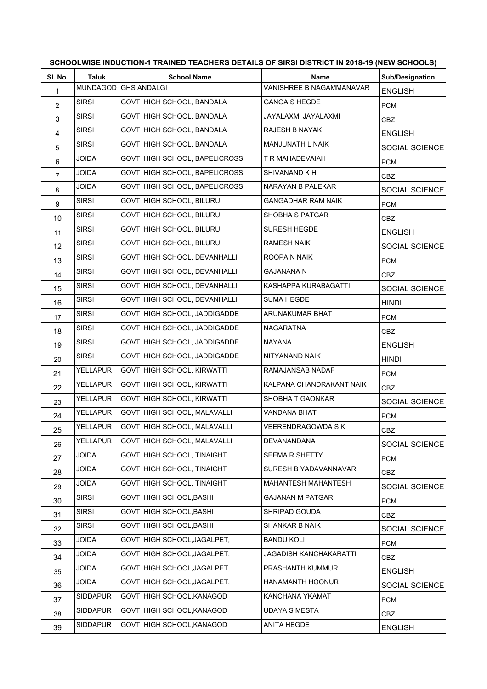| SCHOOLWISE INDUCTION-1 TRAINED TEACHERS DETAILS OF SIRSI DISTRICT IN 2018-19 (NEW SCHOOLS) |                 |                               |                            |                        |  |  |
|--------------------------------------------------------------------------------------------|-----------------|-------------------------------|----------------------------|------------------------|--|--|
| SI. No.                                                                                    | Taluk           | <b>School Name</b>            | <b>Name</b>                | <b>Sub/Designation</b> |  |  |
| 1                                                                                          | <b>MUNDAGOD</b> | <b>GHS ANDALGI</b>            | VANISHREE B NAGAMMANAVAR   | <b>ENGLISH</b>         |  |  |
| 2                                                                                          | <b>SIRSI</b>    | GOVT HIGH SCHOOL, BANDALA     | <b>GANGA S HEGDE</b>       | <b>PCM</b>             |  |  |
| $\mathsf 3$                                                                                | <b>SIRSI</b>    | GOVT HIGH SCHOOL, BANDALA     | JAYALAXMI JAYALAXMI        | <b>CBZ</b>             |  |  |
| 4                                                                                          | <b>SIRSI</b>    | GOVT HIGH SCHOOL, BANDALA     | RAJESH B NAYAK             | <b>ENGLISH</b>         |  |  |
| 5                                                                                          | <b>SIRSI</b>    | GOVT HIGH SCHOOL, BANDALA     | MANJUNATH L NAIK           | SOCIAL SCIENCE         |  |  |
| 6                                                                                          | <b>JOIDA</b>    | GOVT HIGH SCHOOL, BAPELICROSS | T R MAHADEVAIAH            | <b>PCM</b>             |  |  |
| $\overline{7}$                                                                             | <b>JOIDA</b>    | GOVT HIGH SCHOOL, BAPELICROSS | SHIVANAND K H              | <b>CBZ</b>             |  |  |
| 8                                                                                          | <b>JOIDA</b>    | GOVT HIGH SCHOOL, BAPELICROSS | NARAYAN B PALEKAR          | SOCIAL SCIENCE         |  |  |
| 9                                                                                          | <b>SIRSI</b>    | GOVT HIGH SCHOOL, BILURU      | GANGADHAR RAM NAIK         | <b>PCM</b>             |  |  |
| 10                                                                                         | <b>SIRSI</b>    | GOVT HIGH SCHOOL, BILURU      | SHOBHA S PATGAR            | CBZ                    |  |  |
| 11                                                                                         | <b>SIRSI</b>    | GOVT HIGH SCHOOL, BILURU      | SURESH HEGDE               | <b>ENGLISH</b>         |  |  |
| 12                                                                                         | <b>SIRSI</b>    | GOVT HIGH SCHOOL, BILURU      | <b>RAMESH NAIK</b>         | SOCIAL SCIENCE         |  |  |
| 13                                                                                         | <b>SIRSI</b>    | GOVT HIGH SCHOOL, DEVANHALLI  | ROOPA N NAIK               | <b>PCM</b>             |  |  |
| 14                                                                                         | <b>SIRSI</b>    | GOVT HIGH SCHOOL, DEVANHALLI  | <b>GAJANANA N</b>          | CBZ.                   |  |  |
| 15                                                                                         | <b>SIRSI</b>    | GOVT HIGH SCHOOL, DEVANHALLI  | KASHAPPA KURABAGATTI       | SOCIAL SCIENCE         |  |  |
| 16                                                                                         | <b>SIRSI</b>    | GOVT HIGH SCHOOL, DEVANHALLI  | <b>SUMA HEGDE</b>          | <b>HINDI</b>           |  |  |
| 17                                                                                         | <b>SIRSI</b>    | GOVT HIGH SCHOOL, JADDIGADDE  | ARUNAKUMAR BHAT            | <b>PCM</b>             |  |  |
| 18                                                                                         | <b>SIRSI</b>    | GOVT HIGH SCHOOL, JADDIGADDE  | <b>NAGARATNA</b>           | CBZ                    |  |  |
| 19                                                                                         | <b>SIRSI</b>    | GOVT HIGH SCHOOL, JADDIGADDE  | <b>NAYANA</b>              | <b>ENGLISH</b>         |  |  |
| 20                                                                                         | <b>SIRSI</b>    | GOVT HIGH SCHOOL, JADDIGADDE  | NITYANAND NAIK             | <b>HINDI</b>           |  |  |
| 21                                                                                         | <b>YELLAPUR</b> | GOVT HIGH SCHOOL, KIRWATTI    | RAMAJANSAB NADAF           | <b>PCM</b>             |  |  |
| 22                                                                                         | <b>YELLAPUR</b> | GOVT HIGH SCHOOL, KIRWATTI    | KALPANA CHANDRAKANT NAIK   | CBZ.                   |  |  |
| 23                                                                                         | <b>YELLAPUR</b> | GOVT HIGH SCHOOL, KIRWATTI    | SHOBHA T GAONKAR           | SOCIAL SCIENCE         |  |  |
| 24                                                                                         | <b>YELLAPUR</b> | GOVT HIGH SCHOOL, MALAVALLI   | VANDANA BHAT               | <b>PCM</b>             |  |  |
| 25                                                                                         | YELLAPUR        | GOVT HIGH SCHOOL, MALAVALLI   | VEERENDRAGOWDA S K         | <b>CBZ</b>             |  |  |
| 26                                                                                         | YELLAPUR        | GOVT HIGH SCHOOL, MALAVALLI   | DEVANANDANA                | SOCIAL SCIENCE         |  |  |
| 27                                                                                         | <b>JOIDA</b>    | GOVT HIGH SCHOOL, TINAIGHT    | SEEMA R SHETTY             | <b>PCM</b>             |  |  |
| 28                                                                                         | JOIDA           | GOVT HIGH SCHOOL, TINAIGHT    | SURESH B YADAVANNAVAR      | <b>CBZ</b>             |  |  |
| 29                                                                                         | JOIDA           | GOVT HIGH SCHOOL, TINAIGHT    | <b>MAHANTESH MAHANTESH</b> | SOCIAL SCIENCE         |  |  |
| 30                                                                                         | <b>SIRSI</b>    | GOVT HIGH SCHOOL, BASHI       | <b>GAJANAN M PATGAR</b>    | <b>PCM</b>             |  |  |
| 31                                                                                         | <b>SIRSI</b>    | GOVT HIGH SCHOOL, BASHI       | SHRIPAD GOUDA              | <b>CBZ</b>             |  |  |
| 32                                                                                         | <b>SIRSI</b>    | GOVT HIGH SCHOOL, BASHI       | SHANKAR B NAIK             | SOCIAL SCIENCE         |  |  |
| 33                                                                                         | JOIDA           | GOVT HIGH SCHOOL, JAGALPET,   | <b>BANDU KOLI</b>          | <b>PCM</b>             |  |  |
| 34                                                                                         | JOIDA           | GOVT HIGH SCHOOL, JAGALPET,   | JAGADISH KANCHAKARATTI     | CBZ                    |  |  |
| 35                                                                                         | JOIDA           | GOVT HIGH SCHOOL, JAGALPET,   | PRASHANTH KUMMUR           | <b>ENGLISH</b>         |  |  |
| 36                                                                                         | <b>JOIDA</b>    | GOVT HIGH SCHOOL, JAGALPET,   | HANAMANTH HOONUR           | SOCIAL SCIENCE         |  |  |
| 37                                                                                         | <b>SIDDAPUR</b> | GOVT HIGH SCHOOL, KANAGOD     | KANCHANA YKAMAT            | <b>PCM</b>             |  |  |
| 38                                                                                         | SIDDAPUR        | GOVT HIGH SCHOOL, KANAGOD     | <b>UDAYA S MESTA</b>       | CBZ                    |  |  |
| 39                                                                                         | <b>SIDDAPUR</b> | GOVT HIGH SCHOOL, KANAGOD     | ANITA HEGDE                | <b>ENGLISH</b>         |  |  |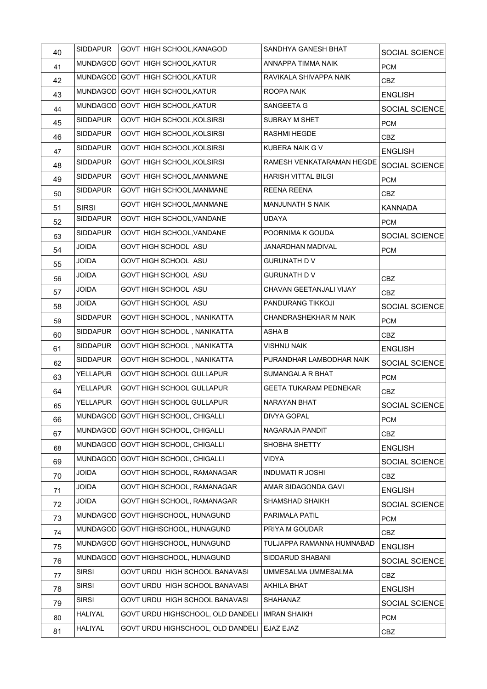| 40 | <b>SIDDAPUR</b> | <b>GOVT HIGH SCHOOL, KANAGOD</b>    | SANDHYA GANESH BHAT           | SOCIAL SCIENCE |
|----|-----------------|-------------------------------------|-------------------------------|----------------|
| 41 |                 | MUNDAGOD GOVT HIGH SCHOOL, KATUR    | ANNAPPA TIMMA NAIK            | <b>PCM</b>     |
| 42 |                 | MUNDAGOD GOVT HIGH SCHOOL, KATUR    | RAVIKALA SHIVAPPA NAIK        | CBZ            |
| 43 |                 | MUNDAGOD GOVT HIGH SCHOOL, KATUR    | ROOPA NAIK                    | <b>ENGLISH</b> |
| 44 |                 | MUNDAGOD GOVT HIGH SCHOOL, KATUR    | SANGEETA G                    | SOCIAL SCIENCE |
| 45 | <b>SIDDAPUR</b> | GOVT HIGH SCHOOL, KOLSIRSI          | SUBRAY M SHET                 | <b>PCM</b>     |
| 46 | SIDDAPUR        | GOVT HIGH SCHOOL, KOLSIRSI          | <b>RASHMI HEGDE</b>           | <b>CBZ</b>     |
| 47 | SIDDAPUR        | GOVT HIGH SCHOOL, KOLSIRSI          | KUBERA NAIK G V               | <b>ENGLISH</b> |
| 48 | <b>SIDDAPUR</b> | GOVT HIGH SCHOOL, KOLSIRSI          | RAMESH VENKATARAMAN HEGDE     | SOCIAL SCIENCE |
| 49 | <b>SIDDAPUR</b> | GOVT HIGH SCHOOL, MANMANE           | HARISH VITTAL BILGI           | <b>PCM</b>     |
| 50 | SIDDAPUR        | GOVT HIGH SCHOOL, MANMANE           | <b>REENA REENA</b>            | CBZ.           |
| 51 | <b>SIRSI</b>    | GOVT HIGH SCHOOL, MANMANE           | <b>MANJUNATH S NAIK</b>       | <b>KANNADA</b> |
| 52 | <b>SIDDAPUR</b> | GOVT HIGH SCHOOL, VANDANE           | <b>UDAYA</b>                  | <b>PCM</b>     |
| 53 | <b>SIDDAPUR</b> | GOVT HIGH SCHOOL, VANDANE           | POORNIMA K GOUDA              | SOCIAL SCIENCE |
| 54 | <b>JOIDA</b>    | GOVT HIGH SCHOOL ASU                | JANARDHAN MADIVAL             | <b>PCM</b>     |
| 55 | JOIDA           | GOVT HIGH SCHOOL ASU                | <b>GURUNATH DV</b>            |                |
| 56 | JOIDA           | GOVT HIGH SCHOOL ASU                | <b>GURUNATH DV</b>            | CBZ            |
| 57 | JOIDA           | GOVT HIGH SCHOOL ASU                | CHAVAN GEETANJALI VIJAY       | <b>CBZ</b>     |
| 58 | JOIDA           | GOVT HIGH SCHOOL ASU                | PANDURANG TIKKOJI             | SOCIAL SCIENCE |
| 59 | <b>SIDDAPUR</b> | GOVT HIGH SCHOOL, NANIKATTA         | CHANDRASHEKHAR M NAIK         | <b>PCM</b>     |
| 60 | <b>SIDDAPUR</b> | GOVT HIGH SCHOOL, NANIKATTA         | <b>ASHAB</b>                  | <b>CBZ</b>     |
| 61 | <b>SIDDAPUR</b> | GOVT HIGH SCHOOL, NANIKATTA         | <b>VISHNU NAIK</b>            | <b>ENGLISH</b> |
| 62 | <b>SIDDAPUR</b> | GOVT HIGH SCHOOL, NANIKATTA         | PURANDHAR LAMBODHAR NAIK      | SOCIAL SCIENCE |
| 63 | YELLAPUR        | GOVT HIGH SCHOOL GULLAPUR           | SUMANGALA R BHAT              | <b>PCM</b>     |
| 64 | YELLAPUR        | <b>GOVT HIGH SCHOOL GULLAPUR</b>    | <b>GEETA TUKARAM PEDNEKAR</b> | <b>CBZ</b>     |
| 65 | <b>YELLAPUR</b> | <b>GOVT HIGH SCHOOL GULLAPUR</b>    | NARAYAN BHAT                  | SOCIAL SCIENCE |
| 66 |                 | MUNDAGOD GOVT HIGH SCHOOL, CHIGALLI | <b>DIVYA GOPAL</b>            | <b>PCM</b>     |
| 67 |                 | MUNDAGOD GOVT HIGH SCHOOL, CHIGALLI | NAGARAJA PANDIT               | <b>CBZ</b>     |
| 68 |                 | MUNDAGOD GOVT HIGH SCHOOL, CHIGALLI | SHOBHA SHETTY                 | <b>ENGLISH</b> |
| 69 |                 | MUNDAGOD GOVT HIGH SCHOOL, CHIGALLI | <b>VIDYA</b>                  | SOCIAL SCIENCE |
| 70 | JOIDA           | GOVT HIGH SCHOOL, RAMANAGAR         | <b>INDUMATI R JOSHI</b>       | <b>CBZ</b>     |
| 71 | JOIDA           | GOVT HIGH SCHOOL, RAMANAGAR         | AMAR SIDAGONDA GAVI           | <b>ENGLISH</b> |
| 72 | JOIDA           | GOVT HIGH SCHOOL, RAMANAGAR         | SHAMSHAD SHAIKH               | SOCIAL SCIENCE |
| 73 | <b>MUNDAGOD</b> | GOVT HIGHSCHOOL, HUNAGUND           | PARIMALA PATIL                | <b>PCM</b>     |
| 74 |                 | MUNDAGOD GOVT HIGHSCHOOL, HUNAGUND  | PRIYA M GOUDAR                | <b>CBZ</b>     |
| 75 |                 | MUNDAGOD GOVT HIGHSCHOOL, HUNAGUND  | TULJAPPA RAMANNA HUMNABAD     | <b>ENGLISH</b> |
| 76 |                 | MUNDAGOD GOVT HIGHSCHOOL, HUNAGUND  | SIDDARUD SHABANI              | SOCIAL SCIENCE |
| 77 | <b>SIRSI</b>    | GOVT URDU HIGH SCHOOL BANAVASI      | UMMESALMA UMMESALMA           | <b>CBZ</b>     |
| 78 | SIRSI           | GOVT URDU HIGH SCHOOL BANAVASI      | <b>AKHILA BHAT</b>            | <b>ENGLISH</b> |
| 79 | SIRSI           | GOVT URDU HIGH SCHOOL BANAVASI      | SHAHANAZ                      | SOCIAL SCIENCE |
| 80 | HALIYAL         | GOVT URDU HIGHSCHOOL, OLD DANDELI   | <b>IMRAN SHAIKH</b>           | <b>PCM</b>     |
| 81 | <b>HALIYAL</b>  | GOVT URDU HIGHSCHOOL, OLD DANDELI   | EJAZ EJAZ                     | CBZ            |